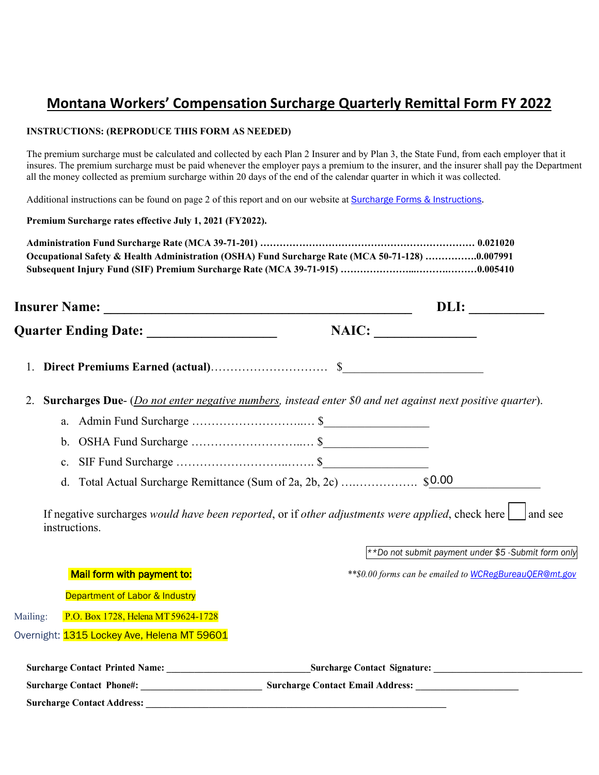# **Montana Workers' Compensation Surcharge Quarterly Remittal Form FY 2022**

#### **INSTRUCTIONS: (REPRODUCE THIS FORM AS NEEDED)**

The premium surcharge must be calculated and collected by each Plan 2 Insurer and by Plan 3, the State Fund, from each employer that it insures. The premium surcharge must be paid whenever the employer pays a premium to the insurer, and the insurer shall pay the Department all the money collected as premium surcharge within 20 days of the end of the calendar quarter in which it was collected.

Additional instructions can be found on page 2 of this report and on our website at Surcharge Forms & Instructions.

**Premium Surcharge rates effective July 1, 2021 (FY2022).**

| Occupational Safety & Health Administration (OSHA) Fund Surcharge Rate (MCA 50-71-128) 0.007991 |  |
|-------------------------------------------------------------------------------------------------|--|
|                                                                                                 |  |

|          |                                             | DLI:                                                                                                                     |  |
|----------|---------------------------------------------|--------------------------------------------------------------------------------------------------------------------------|--|
|          |                                             | NAIC:                                                                                                                    |  |
| 1.       |                                             |                                                                                                                          |  |
| 2.       |                                             | <b>Surcharges Due-</b> ( <i>Do not enter negative numbers, instead enter \$0 and net against next positive quarter).</i> |  |
|          | a.                                          |                                                                                                                          |  |
|          | b.                                          |                                                                                                                          |  |
|          | c.                                          |                                                                                                                          |  |
|          | d.                                          |                                                                                                                          |  |
|          | instructions.                               | If negative surcharges would have been reported, or if other adjustments were applied, check here $\Box$ and see         |  |
|          |                                             | **Do not submit payment under \$5 -Submit form only                                                                      |  |
|          | Mail form with payment to:                  | ** \$0.00 forms can be emailed to WCRegBureau QER@mt.gov                                                                 |  |
|          | Department of Labor & Industry              |                                                                                                                          |  |
| Mailing: | P.O. Box 1728, Helena MT 59624-1728         |                                                                                                                          |  |
|          | Overnight: 1315 Lockey Ave, Helena MT 59601 |                                                                                                                          |  |
|          |                                             | Surcharge Contact Signature:                                                                                             |  |
|          |                                             |                                                                                                                          |  |
|          |                                             |                                                                                                                          |  |

**Surcharge Contact Address: \_\_\_\_\_\_\_\_\_\_\_\_\_\_\_\_\_\_\_\_\_\_\_\_\_\_\_\_\_\_\_\_\_\_\_\_\_\_\_\_\_\_\_\_\_\_\_\_\_\_\_\_\_\_\_\_\_\_\_\_\_\_**